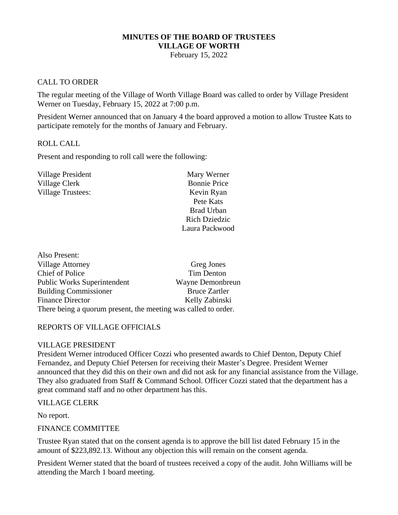# **MINUTES OF THE BOARD OF TRUSTEES VILLAGE OF WORTH**

February 15, 2022

### CALL TO ORDER

The regular meeting of the Village of Worth Village Board was called to order by Village President Werner on Tuesday, February 15, 2022 at 7:00 p.m.

President Werner announced that on January 4 the board approved a motion to allow Trustee Kats to participate remotely for the months of January and February.

#### ROLL CALL

Present and responding to roll call were the following:

| Mary Werner          |
|----------------------|
| <b>Bonnie Price</b>  |
| Kevin Ryan           |
| Pete Kats            |
| <b>Brad Urban</b>    |
| <b>Rich Dziedzic</b> |
| Laura Packwood       |
|                      |

| Also Present:                                                  |                      |
|----------------------------------------------------------------|----------------------|
| <b>Village Attorney</b>                                        | Greg Jones           |
| <b>Chief of Police</b>                                         | Tim Denton           |
| <b>Public Works Superintendent</b>                             | Wayne Demonbreun     |
| <b>Building Commissioner</b>                                   | <b>Bruce Zartler</b> |
| <b>Finance Director</b>                                        | Kelly Zabinski       |
| There being a quorum present, the meeting was called to order. |                      |

#### REPORTS OF VILLAGE OFFICIALS

#### VILLAGE PRESIDENT

President Werner introduced Officer Cozzi who presented awards to Chief Denton, Deputy Chief Fernandez, and Deputy Chief Petersen for receiving their Master's Degree. President Werner announced that they did this on their own and did not ask for any financial assistance from the Village. They also graduated from Staff & Command School. Officer Cozzi stated that the department has a great command staff and no other department has this.

#### VILLAGE CLERK

No report.

#### FINANCE COMMITTEE

Trustee Ryan stated that on the consent agenda is to approve the bill list dated February 15 in the amount of \$223,892.13. Without any objection this will remain on the consent agenda.

President Werner stated that the board of trustees received a copy of the audit. John Williams will be attending the March 1 board meeting.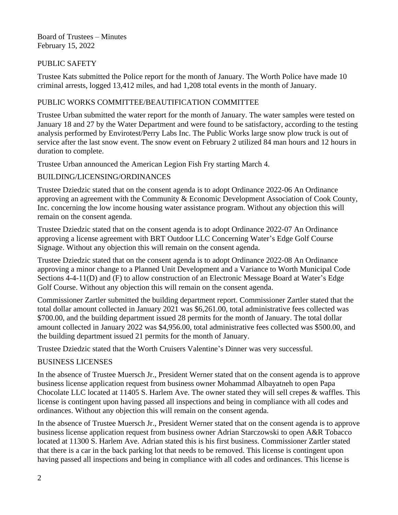Board of Trustees – Minutes February 15, 2022

### PUBLIC SAFETY

Trustee Kats submitted the Police report for the month of January. The Worth Police have made 10 criminal arrests, logged 13,412 miles, and had 1,208 total events in the month of January.

# PUBLIC WORKS COMMITTEE/BEAUTIFICATION COMMITTEE

Trustee Urban submitted the water report for the month of January. The water samples were tested on January 18 and 27 by the Water Department and were found to be satisfactory, according to the testing analysis performed by Envirotest/Perry Labs Inc. The Public Works large snow plow truck is out of service after the last snow event. The snow event on February 2 utilized 84 man hours and 12 hours in duration to complete.

Trustee Urban announced the American Legion Fish Fry starting March 4.

# BUILDING/LICENSING/ORDINANCES

Trustee Dziedzic stated that on the consent agenda is to adopt Ordinance 2022-06 An Ordinance approving an agreement with the Community & Economic Development Association of Cook County, Inc. concerning the low income housing water assistance program. Without any objection this will remain on the consent agenda.

Trustee Dziedzic stated that on the consent agenda is to adopt Ordinance 2022-07 An Ordinance approving a license agreement with BRT Outdoor LLC Concerning Water's Edge Golf Course Signage. Without any objection this will remain on the consent agenda.

Trustee Dziedzic stated that on the consent agenda is to adopt Ordinance 2022-08 An Ordinance approving a minor change to a Planned Unit Development and a Variance to Worth Municipal Code Sections 4-4-11(D) and (F) to allow construction of an Electronic Message Board at Water's Edge Golf Course. Without any objection this will remain on the consent agenda.

Commissioner Zartler submitted the building department report. Commissioner Zartler stated that the total dollar amount collected in January 2021 was \$6,261.00, total administrative fees collected was \$700.00, and the building department issued 28 permits for the month of January. The total dollar amount collected in January 2022 was \$4,956.00, total administrative fees collected was \$500.00, and the building department issued 21 permits for the month of January.

Trustee Dziedzic stated that the Worth Cruisers Valentine's Dinner was very successful.

### BUSINESS LICENSES

In the absence of Trustee Muersch Jr., President Werner stated that on the consent agenda is to approve business license application request from business owner Mohammad Albayatneh to open Papa Chocolate LLC located at 11405 S. Harlem Ave. The owner stated they will sell crepes & waffles. This license is contingent upon having passed all inspections and being in compliance with all codes and ordinances. Without any objection this will remain on the consent agenda.

In the absence of Trustee Muersch Jr., President Werner stated that on the consent agenda is to approve business license application request from business owner Adrian Starczowski to open A&R Tobacco located at 11300 S. Harlem Ave. Adrian stated this is his first business. Commissioner Zartler stated that there is a car in the back parking lot that needs to be removed. This license is contingent upon having passed all inspections and being in compliance with all codes and ordinances. This license is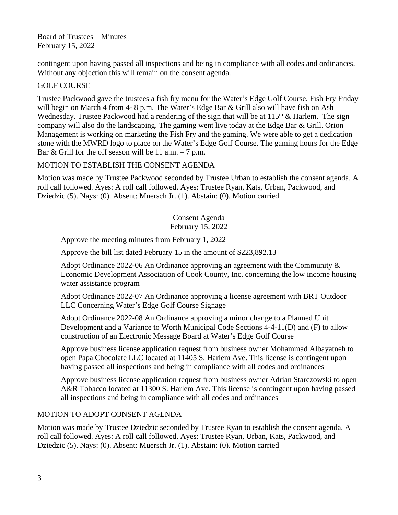Board of Trustees – Minutes February 15, 2022

contingent upon having passed all inspections and being in compliance with all codes and ordinances. Without any objection this will remain on the consent agenda.

## GOLF COURSE

Trustee Packwood gave the trustees a fish fry menu for the Water's Edge Golf Course. Fish Fry Friday will begin on March 4 from 4-8 p.m. The Water's Edge Bar & Grill also will have fish on Ash Wednesday. Trustee Packwood had a rendering of the sign that will be at  $115<sup>th</sup>$  & Harlem. The sign company will also do the landscaping. The gaming went live today at the Edge Bar & Grill. Orion Management is working on marketing the Fish Fry and the gaming. We were able to get a dedication stone with the MWRD logo to place on the Water's Edge Golf Course. The gaming hours for the Edge Bar & Grill for the off season will be 11 a.m.  $-7$  p.m.

# MOTION TO ESTABLISH THE CONSENT AGENDA

Motion was made by Trustee Packwood seconded by Trustee Urban to establish the consent agenda. A roll call followed. Ayes: A roll call followed. Ayes: Trustee Ryan, Kats, Urban, Packwood, and Dziedzic (5). Nays: (0). Absent: Muersch Jr. (1). Abstain: (0). Motion carried

> Consent Agenda February 15, 2022

Approve the meeting minutes from February 1, 2022

Approve the bill list dated February 15 in the amount of \$223,892.13

Adopt Ordinance 2022-06 An Ordinance approving an agreement with the Community & Economic Development Association of Cook County, Inc. concerning the low income housing water assistance program

Adopt Ordinance 2022-07 An Ordinance approving a license agreement with BRT Outdoor LLC Concerning Water's Edge Golf Course Signage

Adopt Ordinance 2022-08 An Ordinance approving a minor change to a Planned Unit Development and a Variance to Worth Municipal Code Sections 4-4-11(D) and (F) to allow construction of an Electronic Message Board at Water's Edge Golf Course

Approve business license application request from business owner Mohammad Albayatneh to open Papa Chocolate LLC located at 11405 S. Harlem Ave. This license is contingent upon having passed all inspections and being in compliance with all codes and ordinances

Approve business license application request from business owner Adrian Starczowski to open A&R Tobacco located at 11300 S. Harlem Ave. This license is contingent upon having passed all inspections and being in compliance with all codes and ordinances

### MOTION TO ADOPT CONSENT AGENDA

Motion was made by Trustee Dziedzic seconded by Trustee Ryan to establish the consent agenda. A roll call followed. Ayes: A roll call followed. Ayes: Trustee Ryan, Urban, Kats, Packwood, and Dziedzic (5). Nays: (0). Absent: Muersch Jr. (1). Abstain: (0). Motion carried